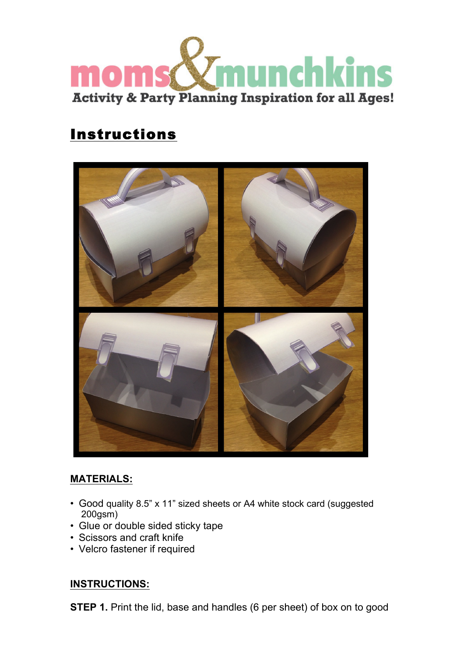

## Instructions



## **MATERIALS:**

- Good quality 8.5" x 11" sized sheets or A4 white stock card (suggested 200gsm)
- Glue or double sided sticky tape
- Scissors and craft knife
- Velcro fastener if required

## **INSTRUCTIONS:**

**STEP 1.** Print the lid, base and handles (6 per sheet) of box on to good